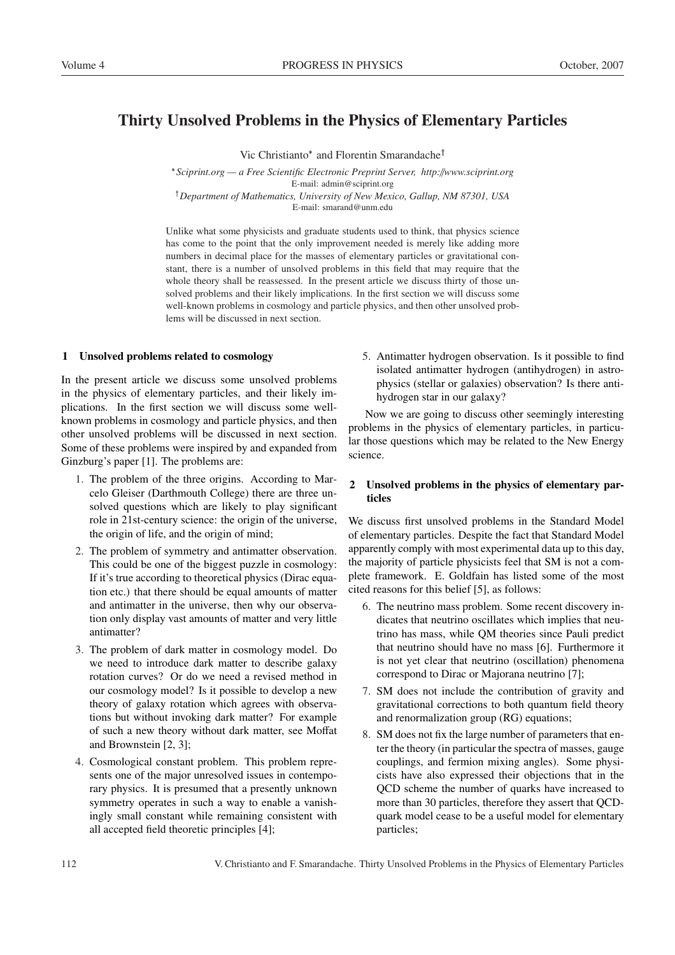# Thirty Unsolved Problems in the Physics of Elementary Particles

Vic Christianto<sup>\*</sup> and Florentin Smarandache<sup>†</sup>

 *Sciprint.org — a Free Scientific Electronic Preprint Server, http:*//*www.sciprint.org* E-mail: admin@sciprint.org <sup>†</sup>Department of Mathematics, University of New Mexico, Gallup, NM 87301, USA E-mail: smarand@unm.edu

Unlike what some physicists and graduate students used to think, that physics science has come to the point that the only improvement needed is merely like adding more numbers in decimal place for the masses of elementary particles or gravitational constant, there is a number of unsolved problems in this field that may require that the whole theory shall be reassessed. In the present article we discuss thirty of those unsolved problems and their likely implications. In the first section we will discuss some well-known problems in cosmology and particle physics, and then other unsolved problems will be discussed in next section.

## 1 Unsolved problems related to cosmology

In the present article we discuss some unsolved problems in the physics of elementary particles, and their likely implications. In the first section we will discuss some wellknown problems in cosmology and particle physics, and then other unsolved problems will be discussed in next section. Some of these problems were inspired by and expanded from Ginzburg's paper [1]. The problems are:

- 1. The problem of the three origins. According to Marcelo Gleiser (Darthmouth College) there are three unsolved questions which are likely to play significant role in 21st-century science: the origin of the universe, the origin of life, and the origin of mind;
- 2. The problem of symmetry and antimatter observation. This could be one of the biggest puzzle in cosmology: If it's true according to theoretical physics (Dirac equation etc.) that there should be equal amounts of matter and antimatter in the universe, then why our observation only display vast amounts of matter and very little antimatter?
- 3. The problem of dark matter in cosmology model. Do we need to introduce dark matter to describe galaxy rotation curves? Or do we need a revised method in our cosmology model? Is it possible to develop a new theory of galaxy rotation which agrees with observations but without invoking dark matter? For example of such a new theory without dark matter, see Moffat and Brownstein [2, 3];
- 4. Cosmological constant problem. This problem represents one of the major unresolved issues in contemporary physics. It is presumed that a presently unknown symmetry operates in such a way to enable a vanishingly small constant while remaining consistent with all accepted field theoretic principles [4];

5. Antimatter hydrogen observation. Is it possible to find isolated antimatter hydrogen (antihydrogen) in astrophysics (stellar or galaxies) observation? Is there antihydrogen star in our galaxy?

Now we are going to discuss other seemingly interesting problems in the physics of elementary particles, in particular those questions which may be related to the New Energy science.

## 2 Unsolved problems in the physics of elementary particles

We discuss first unsolved problems in the Standard Model of elementary particles. Despite the fact that Standard Model apparently comply with most experimental data up to this day, the majority of particle physicists feel that SM is not a complete framework. E. Goldfain has listed some of the most cited reasons for this belief [5], as follows:

- 6. The neutrino mass problem. Some recent discovery indicates that neutrino oscillates which implies that neutrino has mass, while QM theories since Pauli predict that neutrino should have no mass [6]. Furthermore it is not yet clear that neutrino (oscillation) phenomena correspond to Dirac or Majorana neutrino [7];
- 7. SM does not include the contribution of gravity and gravitational corrections to both quantum field theory and renormalization group (RG) equations;
- 8. SM does not fix the large number of parameters that enter the theory (in particular the spectra of masses, gauge couplings, and fermion mixing angles). Some physicists have also expressed their objections that in the QCD scheme the number of quarks have increased to more than 30 particles, therefore they assert that QCDquark model cease to be a useful model for elementary particles;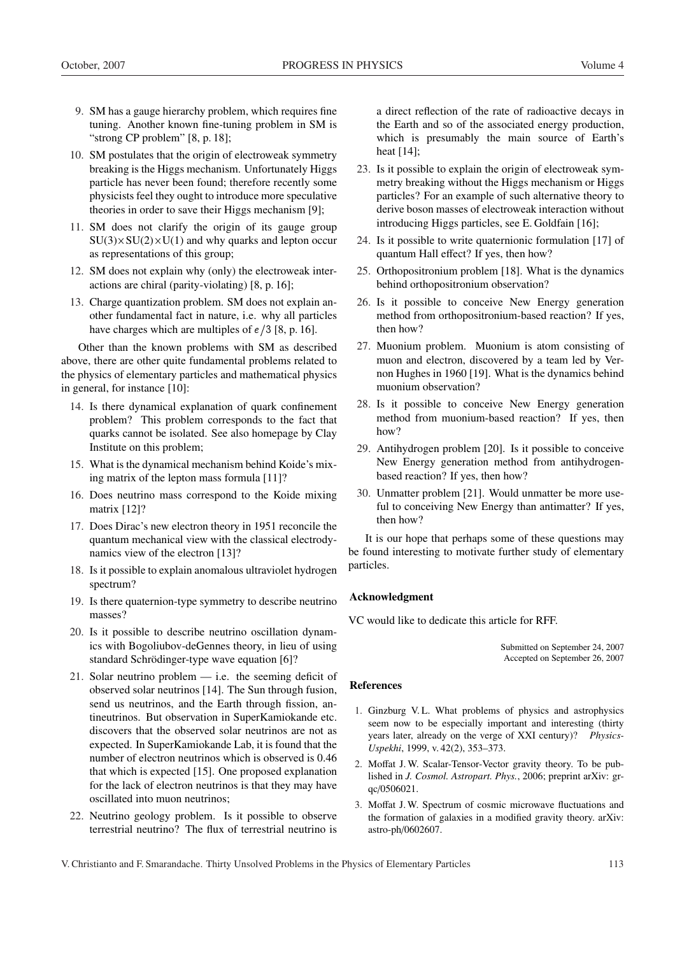- 9. SM has a gauge hierarchy problem, which requires fine tuning. Another known fine-tuning problem in SM is "strong CP problem" [8, p. 18];
- 10. SM postulates that the origin of electroweak symmetry breaking is the Higgs mechanism. Unfortunately Higgs particle has never been found; therefore recently some physicists feel they ought to introduce more speculative theories in order to save their Higgs mechanism [9];
- 11. SM does not clarify the origin of its gauge group  $SU(3) \times SU(2) \times U(1)$  and why quarks and lepton occur as representations of this group;
- 12. SM does not explain why (only) the electroweak interactions are chiral (parity-violating) [8, p. 16];
- 13. Charge quantization problem. SM does not explain another fundamental fact in nature, i.e. why all particles have charges which are multiples of  $e/3$  [8, p. 16].

Other than the known problems with SM as described above, there are other quite fundamental problems related to the physics of elementary particles and mathematical physics in general, for instance [10]:

- 14. Is there dynamical explanation of quark confinement problem? This problem corresponds to the fact that quarks cannot be isolated. See also homepage by Clay Institute on this problem;
- 15. What is the dynamical mechanism behind Koide's mixing matrix of the lepton mass formula [11]?
- 16. Does neutrino mass correspond to the Koide mixing matrix [12]?
- 17. Does Dirac's new electron theory in 1951 reconcile the quantum mechanical view with the classical electrodynamics view of the electron [13]?
- 18. Is it possible to explain anomalous ultraviolet hydrogen spectrum?
- 19. Is there quaternion-type symmetry to describe neutrino masses?
- 20. Is it possible to describe neutrino oscillation dynamics with Bogoliubov-deGennes theory, in lieu of using standard Schrödinger-type wave equation [6]?
- 21. Solar neutrino problem i.e. the seeming deficit of observed solar neutrinos [14]. The Sun through fusion, send us neutrinos, and the Earth through fission, antineutrinos. But observation in SuperKamiokande etc. discovers that the observed solar neutrinos are not as expected. In SuperKamiokande Lab, it is found that the number of electron neutrinos which is observed is 0.46 that which is expected [15]. One proposed explanation for the lack of electron neutrinos is that they may have oscillated into muon neutrinos;
- 22. Neutrino geology problem. Is it possible to observe terrestrial neutrino? The flux of terrestrial neutrino is

a direct reflection of the rate of radioactive decays in the Earth and so of the associated energy production, which is presumably the main source of Earth's heat [14];

- 23. Is it possible to explain the origin of electroweak symmetry breaking without the Higgs mechanism or Higgs particles? For an example of such alternative theory to derive boson masses of electroweak interaction without introducing Higgs particles, see E. Goldfain [16];
- 24. Is it possible to write quaternionic formulation [17] of quantum Hall effect? If yes, then how?
- 25. Orthopositronium problem [18]. What is the dynamics behind orthopositronium observation?
- 26. Is it possible to conceive New Energy generation method from orthopositronium-based reaction? If yes, then how?
- 27. Muonium problem. Muonium is atom consisting of muon and electron, discovered by a team led by Vernon Hughes in 1960 [19]. What is the dynamics behind muonium observation?
- 28. Is it possible to conceive New Energy generation method from muonium-based reaction? If yes, then how?
- 29. Antihydrogen problem [20]. Is it possible to conceive New Energy generation method from antihydrogenbased reaction? If yes, then how?
- 30. Unmatter problem [21]. Would unmatter be more useful to conceiving New Energy than antimatter? If yes, then how?

It is our hope that perhaps some of these questions may be found interesting to motivate further study of elementary particles.

## Acknowledgment

VC would like to dedicate this article for RFF.

Submitted on September 24, 2007 Accepted on September 26, 2007

## References

- 1. Ginzburg V. L. What problems of physics and astrophysics seem now to be especially important and interesting (thirty years later, already on the verge of XXI century)? *Physics-Uspekhi*, 1999, v. 42(2), 353–373.
- 2. Moffat J. W. Scalar-Tensor-Vector gravity theory. To be published in *J. Cosmol. Astropart. Phys.*, 2006; preprint arXiv: grqc/0506021.
- 3. Moffat J. W. Spectrum of cosmic microwave fluctuations and the formation of galaxies in a modified gravity theory. arXiv: astro-ph/0602607.

V. Christianto and F. Smarandache. Thirty Unsolved Problems in the Physics of Elementary Particles 113